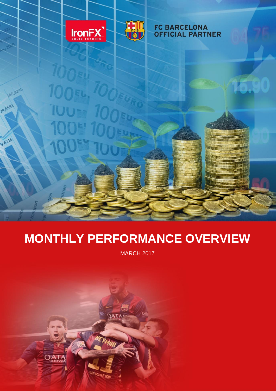

**140,8245** 

24,6581

9,8216



#### **FC BARCELONA OFFICIAL PARTNER**

<u> ANTIQUIDIDIDIDIDIDI</u>

# **MONTHLY PERFORMANCE OVERVIEW**

MARCH 2017

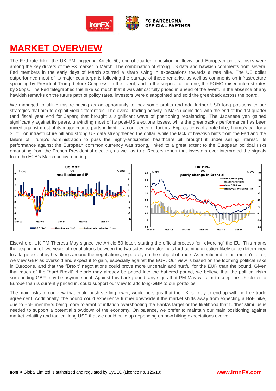

### **MARKET OVERVIEW**

The Fed rate hike, the UK PM triggering Article 50, end-of-quarter repositioning flows, and European political risks were among the key drivers of the FX market in March. The combination of strong US data and hawkish comments from several Fed members in the early days of March spurred a sharp swing in expectations towards a rate hike. The US dollar outperformed most of its major counterparts following the barrage of these remarks, as well as comments on infrastructure spending by President Trump before Congress. In the event, and to the surprise of no one, the FOMC raised interest rates by 25bps. The Fed telegraphed this hike so much that it was almost fully priced in ahead of the event. In the absence of any hawkish remarks on the future path of policy rates, investors were disappointed and sold the greenback across the board.

We managed to utilize this re-pricing as an opportunity to lock some profits and add further USD long positions to our strategies that aim to exploit yield differentials. The overall trading activity in March coincided with the end of the 1st quarter (and fiscal year end for Japan) that brought a significant wave of positioning rebalancing. The Japanese yen gained significantly against its peers, unwinding most of its post-US elections losses, while the greenback's performance has been mixed against most of its major counterparts in light of a confluence of factors. Expectations of a rate hike, Trump's call for a \$1 trillion infrastructure bill and strong US data strengthened the dollar, while the lack of hawkish hints from the Fed and the failure of Trump's administration to pass the highly-anticipated healthcare bill brought it under selling interest. Its performance against the European common currency was strong, linked to a great extent to the European political risks emanating from the French Presidential election, as well as to a Reuters report that investors over-interpreted the signals from the ECB's March policy meeting.



Elsewhere, UK PM Theresa May signed the Article 50 letter, starting the official process for "divorcing" the EU. This marks the beginning of two years of negotiations between the two sides, with sterling's forthcoming direction likely to be determined to a large extent by headlines around the negotiations, especially on the subject of trade. As mentioned in last month's letter, we view GBP as oversold and expect it to gain, especially against the EUR. Our view is based on the looming political risks in Eurozone, and that the "Brexit" negotiations could prove more uncertain and hurtful for the EUR than the pound. Given that much of the "hard Brexit" rhetoric may already be priced into the battered pound, we believe that the political risks surrounding GBP may be asymmetrical. Against this background, any signs that PM May will aim to keep the UK closer to Europe than is currently priced in, could support our view to add long-GBP to our portfolios.

The main risks to our view that could push sterling lower, would be signs that the UK is likely to end up with no free trade agreement. Additionally, the pound could experience further downside if the market shifts away from expecting a BoE hike, due to BoE members being more tolerant of inflation overshooting the Bank's target or the likelihood that further stimulus is needed to support a potential slowdown of the economy. On balance, we prefer to maintain our main positioning against market volatility and tactical long USD that we could build up depending on how hiking expectations evolve.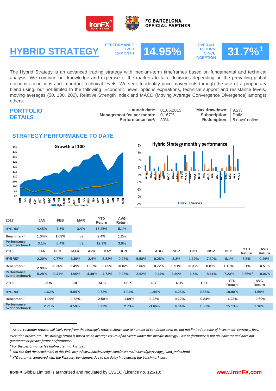



**PERFORMANCE OVER**<br>**12-MONTH** 



**OVERALL RETURN SINCE INCEPTION**



The Hybrid Strategy is an advanced trading strategy with medium-term timeframes based on fundamental and technical analysis. We combine our knowledge and expertise of the markets to take decisions depending on the prevailing global economic conditions and important technical levels. We seek to identify price movements through the use of a proprietary blend using, but not limited to the following: Economic news, options expirations, technical support and resistance levels, moving averages (50, 100, 200), Relative Strength Index and MACD (Moving Average Convergence Divergence) amongst others.

#### **PORTFOLIO DETAILS**

**Launch date:** 01.06.2015 **Max drawdown:** 9.2%<br> **ee per month:** 0.167% **Subscription:** Daily **Management fee per month:** 0.167<br>**Performance fee**<sup>2</sup>: 30% **Performance fee<sup>2</sup>**

**Redemption:** 5 days' notice

### **STRATEGY PERFORMANCE TO DATE**





| 2017                                 | <b>JAN</b> | <b>FEB</b> | <b>MAR</b>           |            | <b>YTD</b><br>Return | <b>AVG</b><br>Return |                   |            |            |            |            |                      |                        |                      |  |
|--------------------------------------|------------|------------|----------------------|------------|----------------------|----------------------|-------------------|------------|------------|------------|------------|----------------------|------------------------|----------------------|--|
| HYBRID <sup>1</sup>                  | 4.45%      | 7.5%       | 3.4%                 |            | 15.35%               | 5.1%                 |                   |            |            |            |            |                      |                        |                      |  |
| Benchmark <sup>3</sup>               | 1.34%      | 1.09%      | n/a                  |            | 2.4%                 | 1.2%                 |                   |            |            |            |            |                      |                        |                      |  |
| <b>Performance</b><br>over benchmark | 3.1%       | 6.4%       | n/a                  |            | 12.9%                |                      |                   |            |            |            |            |                      |                        |                      |  |
| 2016                                 | <b>JAN</b> | <b>FEB</b> | <b>MAR</b>           | <b>APR</b> | <b>MAY</b>           | <b>JUN</b>           | <b>JUL</b>        | <b>AUG</b> | <b>SEP</b> | <b>OCT</b> | <b>NOV</b> | <b>DEC</b>           | <b>YTD</b><br>Return   | <b>AVG</b><br>Return |  |
| HYBRID <sup>1</sup>                  | 2.29%      | $-0.77%$   | 4.39%                | $-3.4%$    | 5.82%                | 0.23%                | 5.58%             | 0.28%      | 3.3%       | 1.19%      | $-7.30%$   | $-6.1%$              | 5.5%                   | 0.46%                |  |
| Benchmark <sup>3</sup>               | 2.99%      | $-0.36%$   | 2.49%                | 1.08%      | 0.65%                | $-0.02%$             | 2.06%             | 0.72%      | 0.91%      | $-0.31%$   | 0.81%      | 1.13%                | 6.1%                   | 0.51%                |  |
| Performance<br>over benchmark        | 5.28%      | $-0.41%$   | 1.90%                | $-4.48%$   | 4.73%                | 0.25%                | 3.52%             | $-0.44%$   | 2.39%      | 1.5%       | $-8.11%$   | $-7.23%$             | $-0.66\%$ <sup>4</sup> | $-0.06%$             |  |
| 2015                                 | <b>JUN</b> |            | <b>JUL</b>           | <b>AUG</b> |                      | <b>SEPT</b>          |                   | <b>OCT</b> | <b>NOV</b> |            | <b>DEC</b> | <b>YTD</b><br>Return |                        | <b>AVG</b><br>Return |  |
| <b>HYBRID1</b>                       | 1.62%      |            | 4.04%                | 0.72%      |                      |                      | 1.04%<br>$-1.44%$ |            | 4.26%      | 0.66%      |            | 10.90%               |                        | 1.56%                |  |
| Benchmark <sup>3</sup>               | $-1.09%$   |            | $-0.55%$<br>$-2.50%$ |            |                      | $-1.69%$             | 2.22%             |            | 0.22%      |            | $-0.84%$   |                      | $-4.23%$               | $-0.60%$             |  |
| <b>Performance</b><br>over benchmark | 2.71%      |            | 4.59%<br>3.22%       |            | 2.73%                | $-3.66%$             |                   | 4.04%      |            | 1.50%      |            | 15.13%               | 2.16%                  |                      |  |

**AVG**

2 *For the performance fee high-water mark is used*

-

<sup>1</sup> *Actual customer returns will likely vary from the strategy's returns shown due to number of conditions such as, but not limited to, time of investment, currency, fees,*  execution broker, etc. The strategy return is based on an average return of all clients under the specific strategy. Past performance is not an indicator and does not *guarantee or predict future performance.*

<sup>3</sup> *You can find the benchmark in this link: http://www.barclayhedge.com/research/indices/ghs/Hedge\_Fund\_Index.html*

<sup>4</sup> *YTD return is compared with the February benchmark due to the delay in releasing the benchmark data*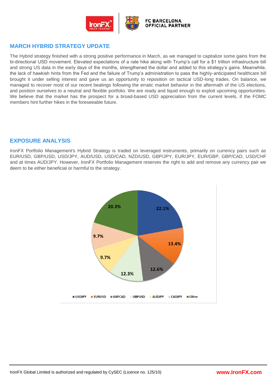

#### **MARCH HYBRID STRATEGY UPDATE**

The Hybrid strategy finished with a strong positive performance in March, as we managed to capitalize some gains from the bi-directional USD movement. Elevated expectations of a rate hike along with Trump's call for a \$1 trillion infrastructure bill and strong US data in the early days of the months, strengthened the dollar and added to this strategy's gains. Meanwhile, the lack of hawkish hints from the Fed and the failure of Trump's administration to pass the highly-anticipated healthcare bill brought it under selling interest and gave us an opportunity to reposition on tactical USD-long trades. On balance, we managed to recover most of our recent beatings following the erratic market behavior in the aftermath of the US elections, and position ourselves to a neutral and flexible portfolio. We are ready and liquid enough to exploit upcoming opportunities. We believe that the market has the prospect for a broad-based USD appreciation from the current levels, if the FOMC members hint further hikes in the foreseeable future.

#### **EXPOSURE ANALYSIS**

IronFX Portfolio Management's Hybrid Strategy is traded on leveraged instruments, primarily on currency pairs such as EUR/USD, GBP/USD, USD/JPY, AUD/USD, USD/CAD, NZD/USD, GBP/JPY, EUR/JPY, EUR/GBP, GBP/CAD, USD/CHF and at times AUD/JPY. However, IronFX Portfolio Management reserves the right to add and remove any currency pair we deem to be either beneficial or harmful to the strategy.

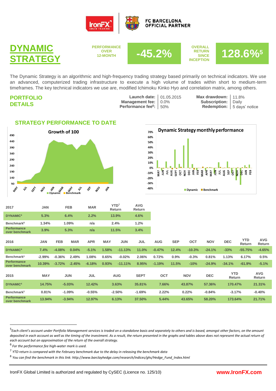



**PERFORMANCE OVER**<br>12-MONTH



**OVERALL RETURN SINCE INCEPTION**



The Dynamic Strategy is an algorithmic and high-frequency trading strategy based primarily on technical indicators. We use an advanced, computerized trading infrastructure to execute a high volume of trades within short to medium-term timeframes. The key technical indicators we use are, modified Ichimoku Kinko Hyo and correlation matrix, among others.

| <b>PORTFOLIO</b> |
|------------------|
| <b>DETAILS</b>   |

**Launch date:** 01.05.2015 **Max drawdown:** 11.8%<br>**Management fee:** 0.0% **Subscription:** Daily **Performance fee<sup>6</sup>**

|                                               | h date: 01.05.2 |
|-----------------------------------------------|-----------------|
| $ent$ fee: $0.0\%$                            |                 |
| $\mathbf{A}$ foot $\mathbf{B}$ = $\mathbf{A}$ |                 |

**Subscription:** 

**Redemption:** 5 days' notice

#### **STRATEGY PERFORMANCE TO DATE**



**Dynamic Strategy monthly performance** 70% 60% 50% 40% 30% 20% 10% 0% 봄 록 定  $\frac{5}{9}$  $-10%$  $-20%$  $-30%$  $-40%$ Dynamic Benchmark

| 2017                                 | JAN        | <b>FEB</b> |            | <b>MAR</b> | YTD <sup>7</sup><br>Return |            | <b>AVG</b><br>Return |            |            |            |            |                      |                      |                      |
|--------------------------------------|------------|------------|------------|------------|----------------------------|------------|----------------------|------------|------------|------------|------------|----------------------|----------------------|----------------------|
| <b>DYNAMIC<sup>4</sup></b>           | 5.3%       | 6.4%       |            | 2.2%       | 13.9%                      |            | 4.6%                 |            |            |            |            |                      |                      |                      |
| Benchmark <sup>8</sup>               | 1.34%      | 1.09%      |            | n/a        | 2.4%                       |            | 1.2%                 |            |            |            |            |                      |                      |                      |
| <b>Performance</b><br>over benchmark | 3.9%       | 5.3%       |            | n/a        | 11.5%                      |            | 3.4%                 |            |            |            |            |                      |                      |                      |
| 2016                                 | <b>JAN</b> | <b>FEB</b> | <b>MAR</b> | <b>APR</b> | <b>MAY</b>                 | <b>JUN</b> | JUL                  | <b>AUG</b> | <b>SEP</b> | <b>OCT</b> | <b>NOV</b> | <b>DEC</b>           | <b>YTD</b><br>Return | <b>AVG</b><br>Return |
| <b>DYNAMIC<sup>4</sup></b>           | 7.4%       | $-4.08%$   | 0.04%      | $-5.1%$    | 1.58%                      | $-11.13%$  | 11.0%                | $-0.47%$   | 12.4%      | $-10.3%$   | $-24.1%$   | $-33%$               | $-55.75%$            | $-4.65%$             |
| Benchmark <sup>3</sup>               | $-2.99%$   | $-0.36%$   | 2.49%      | 1.08%      | 0.65%                      | $-0.02%$   | 2.06%                | 0.72%      | 0.9%       | $-0.3%$    | 0.81%      | 1.13%                | 6.17%                | 0.5%                 |
| <b>Performance</b><br>over benchmark | 10.39%     | $-3.72%$   | $-2.45%$   | $-6.18%$   | 0.93%                      | $-11.11%$  | 8.95%                | $-1.19%$   | 11.5%      | $-10%$     | $-24.9%$   | $-34.1%$             | $-61.9%$             | $-5.1%$              |
| 2015                                 | <b>MAY</b> | <b>JUN</b> |            | <b>JUL</b> |                            | <b>AUG</b> | <b>SEPT</b>          | <b>OCT</b> |            | <b>NOV</b> | <b>DEC</b> | <b>YTD</b><br>Return |                      | <b>AVG</b><br>Return |
| <b>DYNAMIC<sup>4</sup></b>           | 14.75%     | $-5.03%$   |            | 12.42%     | 3.63%                      |            | 35.81%               | 7.66%      |            | 43.87%     | 57.36%     | 170.47%              |                      | 21.31%               |
| Benchmark <sup>3</sup>               | 0.81%      | $-1.09%$   |            | $-0.55%$   | $-2.50%$                   |            | $-1.69%$             | 2.22%      |            | 0.22%      | $-0.84%$   | $-3.17%$             |                      | $-0.40%$             |
| <b>Performance</b><br>over benchmark | 13.94%     |            | $-3.94%$   | 12.97%     |                            | 6.13%      | 37.50%               | 5.44%      |            | 43.65%     | 58.20%     | 173.64%              |                      | 21.71%               |

**.** 

<sup>&</sup>lt;sup>5</sup> Each client's account under Portfolio Management services is traded on a standalone basis and separately to others and is based, amongst other factors, on the amount *deposited in each account as well as the timing of the investment. As a result, the return presented in the graphs and tables above does not represent the actual return of each account but an approximation of the return of the overall strategy.*

<sup>6</sup> *For the performance fee high-water mark is used.*

<sup>7</sup> *YTD return is compared with the February benchmark due to the delay in releasing the benchmark data*

<sup>8</sup> *You can find the benchmark in this link: http://www.barclayhedge.com/research/indices/ghs/Hedge\_Fund\_Index.html*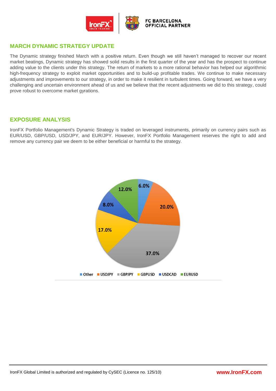

#### **MARCH DYNAMIC STRATEGY UPDATE**

The Dynamic strategy finished March with a positive return. Even though we still haven't managed to recover our recent market beatings, Dynamic strategy has showed solid results in the first quarter of the year and has the prospect to continue adding value to the clients under this strategy. The return of markets to a more rational behavior has helped our algorithmic high-frequency strategy to exploit market opportunities and to build-up profitable trades. We continue to make necessary adjustments and improvements to our strategy, in order to make it resilient in turbulent times. Going forward, we have a very challenging and uncertain environment ahead of us and we believe that the recent adjustments we did to this strategy, could prove robust to overcome market gyrations.

#### **EXPOSURE ANALYSIS**

IronFX Portfolio Management's Dynamic Strategy is traded on leveraged instruments, primarily on currency pairs such as EUR/USD, GBP/USD, USD/JPY, and EUR/JPY. However, IronFX Portfolio Management reserves the right to add and remove any currency pair we deem to be either beneficial or harmful to the strategy.

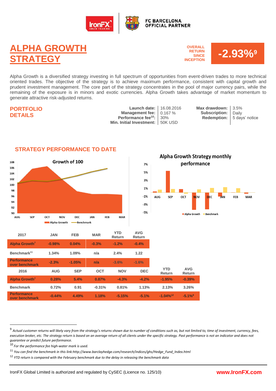

## **ALPHA GROWTH STRATEGY**

**OVERALL RETURN SINCE INCEPTION**



Alpha Growth is a diversified strategy investing in full spectrum of opportunities from event-driven trades to more technical oriented trades. The objective of the strategy is to achieve maximum performance, consistent with capital growth and prudent investment management. The core part of the strategy concentrates in the pool of major currency pairs, while the remaining of the exposure is in minors and exotic currencies. Alpha Growth takes advantage of market momentum to generate attractive risk-adjusted returns.

#### **PORTFOLIO DETAILS**

**Launch date:** 16.08.2016 **Max drawdown: 3.5%**<br> **agement fee:** 0.167% **Subscription:** Daily **Management fee:** 0.167 % **Subscription:** Daily<br> **Performance fee<sup>10</sup>:** 30% **Redemption:** 5 day **Performance fee<sup>10</sup>: Min. Initial Investment:** 50K USD 30%

**Redemption:** 5 days' notice



-Benchmark

Alpha Growth

#### **STRATEGY PERFORMANCE TO DATE**



| 2017                                 | <b>JAN</b> | <b>FEB</b> | <b>MAR</b> | <b>YTD</b><br>Return | <b>AVG</b><br><b>Return</b> |                         |                       |  |
|--------------------------------------|------------|------------|------------|----------------------|-----------------------------|-------------------------|-----------------------|--|
| Alpha Growth <sup>7</sup>            | $-0.98%$   | 0.04%      | $-0.3%$    | $-1.2%$              | $-0.4%$                     |                         |                       |  |
| Benchmark <sup>11</sup>              | 1.34%      | 1.09%      | n/a        | 2.4%                 | 1.22                        |                         |                       |  |
| <b>Performance</b><br>over benchmark | $-2.3%$    | $-1.05%$   | n/a        | $-3.6%$              | $-1.6%$                     |                         |                       |  |
| 2016                                 | <b>AUG</b> | <b>SEP</b> | <b>OCT</b> | <b>NOV</b>           | <b>DEC</b>                  | <b>YTD</b><br>Return    | <b>AVG</b><br>Return  |  |
| Alpha Growth <sup>7</sup>            | 0.28%      | 5.4%       | 0.87%      | $-4.3%$              | $-4.2%$                     | $-1.95%$                | $-0.39%$              |  |
| <b>Benchmark</b>                     | 0.72%      | 0.91       | $-0.31%$   | 0.81%                | 1.13%                       | 2.13%                   | 3.26%                 |  |
| <b>Performance</b><br>over benchmark | $-0.44%$   | 4.49%      | 1.18%      | $-5.15%$             | $-5.1%$                     | $-1.04\%$ <sup>12</sup> | $-5.1\%$ <sup>8</sup> |  |

**.** 

<sup>&</sup>lt;sup>9</sup> Actual customer returns will likely vary from the strategy's returns shown due to number of conditions such as, but not limited to, time of investment, currency, fees, execution broker, etc. The strategy return is based on an average return of all clients under the specific strategy. Past performance is not an indicator and does not *guarantee or predict future performance.*

<sup>10</sup> *For the performance fee high-water mark is used.*

<sup>11</sup> *You can find the benchmark in this link:http://www.barclayhedge.com/research/indices/ghs/Hedge\_Fund\_Index.html*

<sup>12</sup> *YTD return is compared with the February benchmark due to the delay in releasing the benchmark data*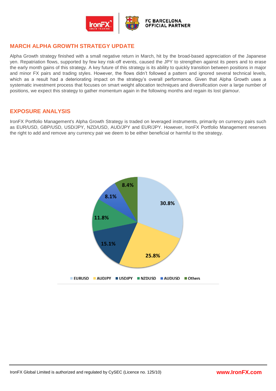

#### **MARCH ALPHA GROWTH STRATEGY UPDATE**

Alpha Growth strategy finished with a small negative return in March, hit by the broad-based appreciation of the Japanese yen. Repatriation flows, supported by few key risk-off events, caused the JPY to strengthen against its peers and to erase the early month gains of this strategy. A key future of this strategy is its ability to quickly transition between positions in major and minor FX pairs and trading styles. However, the flows didn't followed a pattern and ignored several technical levels, which as a result had a deteriorating impact on the strategy's overall performance. Given that Alpha Growth uses a systematic investment process that focuses on smart weight allocation techniques and diversification over a large number of positions, we expect this strategy to gather momentum again in the following months and regain its lost glamour.

#### **EXPOSURE ANALYSIS**

IronFX Portfolio Management's Alpha Growth Strategy is traded on leveraged instruments, primarily on currency pairs such as EUR/USD, GBP/USD, USD/JPY, NZD/USD, AUD/JPY and EUR/JPY. However, IronFX Portfolio Management reserves the right to add and remove any currency pair we deem to be either beneficial or harmful to the strategy.